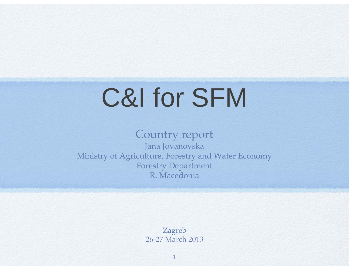# C&I for SFM

### Country report Jana Jovanovska Ministry of Agriculture, Forestry and Water Economy Forestry Department R. Macedonia

Zagreb 26-27 March 2013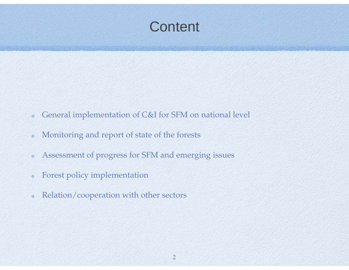## **Content**

- General implementation of C&I for SFM on national level  $\bullet$
- Monitoring and report of state of the forests  $\bullet$
- Assessment of progress for SFM and emerging issues  $\bullet$
- Forest policy implementation  $\bullet$
- Relation/cooperation with other sectors  $\bullet$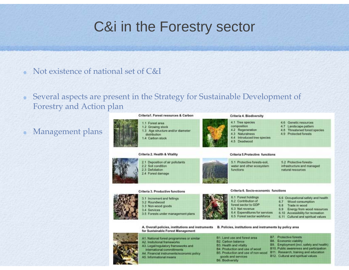## C&i in the Forestry sector

- Not existence of national set of C&I
- Several aspects are present in the Strategy for Sustainable Development of  $\bullet$ Forestry and Action plan

### Management plans



### Criteria 2. Health & Vitality



2.2 Soil condition 2.4 Forest damage

### functions

### Criteria 3. Productive functions



3.3 Non-wood goods

- 3.4 Services
- 3.5 Forests under management plans

### Criteria 6, Socio-economic functions

- 6.1 Forest holdings 6.2 Contribution of forest sector to GDP 6.3 Net revenue
- 6.4 Expenditures for services
- 6.5 Forest sector workforce
- - 6.9 Energy from wood resources
	- 6.10 Accessibility for recreation
	- 6.11 Cultural and spiritual values

A. Overall policies, institutions and instruments B. Policies, institutions and instruments by policy area for Sustainable Forest Management



A1. National forest programmes or similar A2. Insitutional frameworks A3. Legaliregulatory frameworks and international commitments A4. Financial instruments/economic policy<br>A5. Informational means

- 
- B1. Land use and forest area
- B2. Carbon balance
- 83. Health and vitality B4. Production and use of wood
- B5. Production and use of non-wood
	- goods and services
- **B6** Biodiversity
- **B8.** Economic viability 89. Employment (incl. safety and health)

**B7.** Protective forests

- B10. Public awareness and participation
	-
- B11. Research, training and education
- B12. Cultural and spiritual values
- 4.1 Tree species
- composition 4.2 Regeneration
- 4.3 Naturalness
- 4.4 Introduced tree species
	-

### 4.5 Deadwood

Criteria 4. Biodiversity

- Criteria 5.Protective functions
- 5.1 Protective forests-soil, water and other ecosystem
- 5.2 Protective forestsinfrastructure and managed
- natural resources
- 
- 
- 

4.6 Genetic resources

4.7 Landscape pattern

4.9 Protected forests

4.8 Threatened forest species

- 
- 6.6 Occupational safety and health 6.7 Wood consumption 6.8 Trade in wood
	-
	-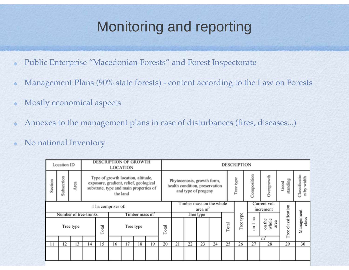## Monitoring and reporting

- Public Enterprise "Macedonian Forests" and Forest Inspectorate  $\bullet$
- Management Plans (90% state forests) content according to the Law on Forests  $\bullet$
- Mostly economical aspects  $\bullet$
- Annexes to the management plans in case of disturbances (fires, diseases...)
- No national Inventory $\bullet$

|                    | <b>Location ID</b> |      | <b>DESCRIPTION OF GROWTH</b><br><b>LOCATION</b>                                                                                    |       |           |    |    |       |           | <b>DESCRIPTION</b>                                                                  |    |    |       |           |                |                           |                     |                     |                       |  |
|--------------------|--------------------|------|------------------------------------------------------------------------------------------------------------------------------------|-------|-----------|----|----|-------|-----------|-------------------------------------------------------------------------------------|----|----|-------|-----------|----------------|---------------------------|---------------------|---------------------|-----------------------|--|
| Section            | Subsection         | Area | Type of growth location, altitude,<br>exposure, gradient, relief, geological<br>substrate, type and main properties of<br>the land |       |           |    |    |       |           | Phytocenosis, growth form,<br>health condition, preservation<br>and type of progeny |    |    |       |           | Tree type      | Composition               | Overgrowth          | standing<br>Good    | lassificatio<br>width |  |
| 1 ha comprises of: |                    |      |                                                                                                                                    |       |           |    |    |       |           | Timber mass on the whole<br>area m                                                  |    |    |       |           |                | Current vol.<br>increment |                     |                     |                       |  |
|                    |                    |      | Number of tree-trunks<br>Timber mass m                                                                                             |       |           |    |    |       | Tree type |                                                                                     |    |    |       |           |                |                           |                     |                     |                       |  |
| Tree type          |                    |      |                                                                                                                                    | Total | Tree type |    |    | Total |           |                                                                                     |    |    | Total | Tree type | l ha<br>$\sin$ | on the<br>whole<br>arca   | Tree classification | Management<br>class |                       |  |
|                    |                    |      |                                                                                                                                    |       |           |    |    |       |           |                                                                                     |    |    |       | m         |                |                           |                     |                     |                       |  |
|                    | 12                 | 13   | 14                                                                                                                                 | 15    | 16        | 17 | 18 | 19    | 20        | 21                                                                                  | 22 | 23 | 24    | 25        | 26             | 27                        | 28                  | 29                  | 30                    |  |
|                    |                    |      |                                                                                                                                    |       |           |    |    |       |           |                                                                                     |    |    |       |           |                |                           |                     |                     |                       |  |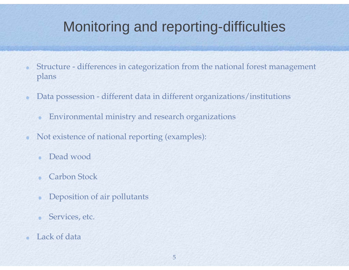## Monitoring and reporting-difficulties

- Structure differences in categorization from the national forest management plans
- Data possession different data in different organizations/institutions  $\bullet$ 
	- Environmental ministry and research organizations  $\bullet$
- Not existence of national reporting (examples):  $\bullet$ 
	- Dead wood $\bullet$
	- Carbon Stock $\bullet$
	- Deposition of air pollutants  $\bullet$
	- Services, etc.  $\bullet$
- Lack of data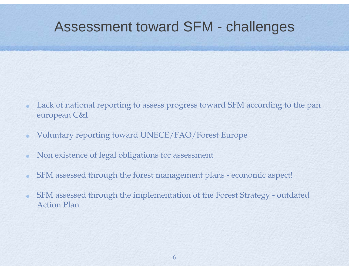### Assessment toward SFM - challenges

- Lack of national reporting to assess progress toward SFM according to the pan european C&I
- Voluntary reporting toward UNECE/FAO/Forest Europe  $\bullet$
- Non existence of legal obligations for assessment
- SFM assessed through the forest management plans economic aspect!  $\bullet$
- SFM assessed through the implementation of the Forest Strategy outdated  $\bullet$ Action Plan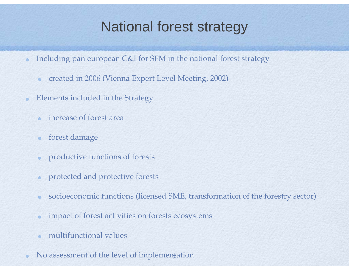## National forest strategy

- Including pan european C&I for SFM in the national forest strategy  $\bullet$ 
	- created in 2006 (Vienna Expert Level Meeting, 2002)  $\bullet$
- Elements included in the Strategy
	- increase of forest area $\alpha$
	- forest damage  $\bullet$
	- productive functions of forests  $\bullet$
	- protected and protective forests  $\bullet$
	- socioeconomic functions (licensed SME, transformation of the forestry sector)  $\bullet$
	- impact of forest activities on forests ecosystems  $\bullet$
	- multifunctional values
- No assessment of the level of implementation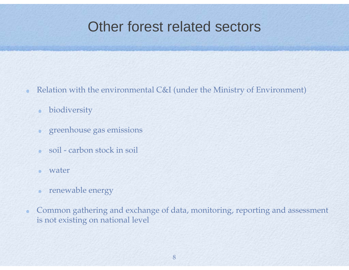### Other forest related sectors

- Relation with the environmental C&I (under the Ministry of Environment)  $\bullet$ 
	- biodiversity  $\bullet$
	- greenhouse gas emissions  $\bullet$
	- soil carbon stock in soil $\bullet$
	- water $\blacksquare$
	- renewable energy  $\bullet$
- Common gathering and exchange of data, monitoring, reporting and assessment  $\bullet$ is not existing on national level